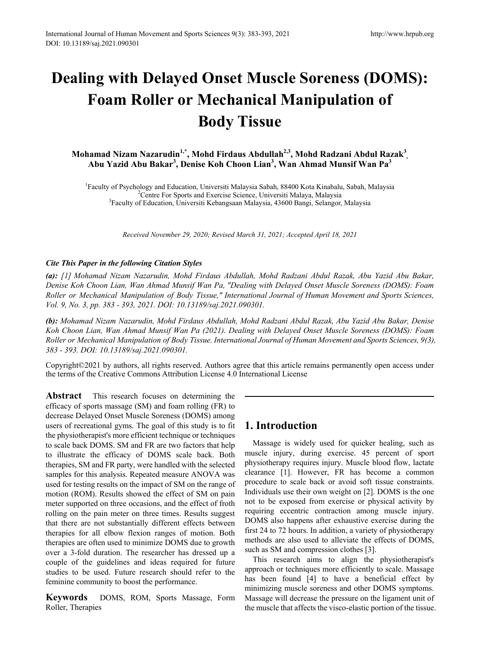# **Dealing with Delayed Onset Muscle Soreness (DOMS): Foam Roller or Mechanical Manipulation of Body Tissue**

Mohamad Nizam Nazarudin<sup>1,\*</sup>, Mohd Firdaus Abdullah<sup>2,3</sup>, Mohd Radzani Abdul Razak<sup>3</sup>, **Abu Yazid Abu Bakar<sup>3</sup> , Denise Koh Choon Lian3 , Wan Ahmad Munsif Wan Pa<sup>3</sup>**

<sup>1</sup> Faculty of Psychology and Education, Universiti Malaysia Sabah, 88400 Kota Kinabalu, Sabah, Malaysia<br><sup>2</sup>Centre For Sports and Exercise Science, Universiti Malaya, Malaysia Centre For Sports and Exercise Science, Universiti Malaya, Malaysia <sup>3</sup> Faculty of Education, Universiti Kebangsaan Malaysia, 43600 Bangi, Selangor, Malaysia

*Received November 29, 2020; Revised March 31, 2021; Accepted April 18, 2021*

#### *Cite This Paper in the following Citation Styles*

*(a): [1] Mohamad Nizam Nazarudin, Mohd Firdaus Abdullah, Mohd Radzani Abdul Razak, Abu Yazid Abu Bakar, Denise Koh Choon Lian, Wan Ahmad Munsif Wan Pa, "Dealing with Delayed Onset Muscle Soreness (DOMS): Foam Roller or Mechanical Manipulation of Body Tissue," International Journal of Human Movement and Sports Sciences, Vol. 9, No. 3, pp. 383 - 393, 2021. DOI: 10.13189/saj.2021.090301.* 

*(b): Mohamad Nizam Nazarudin, Mohd Firdaus Abdullah, Mohd Radzani Abdul Razak, Abu Yazid Abu Bakar, Denise Koh Choon Lian, Wan Ahmad Munsif Wan Pa (2021). Dealing with Delayed Onset Muscle Soreness (DOMS): Foam Roller or Mechanical Manipulation of Body Tissue. International Journal of Human Movement and Sports Sciences, 9(3), 383 - 393. DOI: 10.13189/saj.2021.090301.* 

Copyright©2021 by authors, all rights reserved. Authors agree that this article remains permanently open access under the terms of the Creative Commons Attribution License 4.0 International License

**Abstract** This research focuses on determining the efficacy of sports massage (SM) and foam rolling (FR) to decrease Delayed Onset Muscle Soreness (DOMS) among users of recreational gyms. The goal of this study is to fit the physiotherapist's more efficient technique or techniques to scale back DOMS. SM and FR are two factors that help to illustrate the efficacy of DOMS scale back. Both therapies, SM and FR party, were handled with the selected samples for this analysis. Repeated measure ANOVA was used for testing results on the impact of SM on the range of motion (ROM). Results showed the effect of SM on pain meter supported on three occasions, and the effect of froth rolling on the pain meter on three times. Results suggest that there are not substantially different effects between therapies for all elbow flexion ranges of motion. Both therapies are often used to minimize DOMS due to growth over a 3-fold duration. The researcher has dressed up a couple of the guidelines and ideas required for future studies to be used. Future research should refer to the feminine community to boost the performance.

**Keywords** DOMS, ROM, Sports Massage, Form Roller, Therapies

## **1. Introduction**

Massage is widely used for quicker healing, such as muscle injury, during exercise. 45 percent of sport physiotherapy requires injury. Muscle blood flow, lactate clearance [1]. However, FR has become a common procedure to scale back or avoid soft tissue constraints. Individuals use their own weight on [2]. DOMS is the one not to be exposed from exercise or physical activity by requiring eccentric contraction among muscle injury. DOMS also happens after exhaustive exercise during the first 24 to 72 hours. In addition, a variety of physiotherapy methods are also used to alleviate the effects of DOMS, such as SM and compression clothes [3].

This research aims to align the physiotherapist's approach or techniques more efficiently to scale. Massage has been found [4] to have a beneficial effect by minimizing muscle soreness and other DOMS symptoms. Massage will decrease the pressure on the ligament unit of the muscle that affects the visco-elastic portion of the tissue.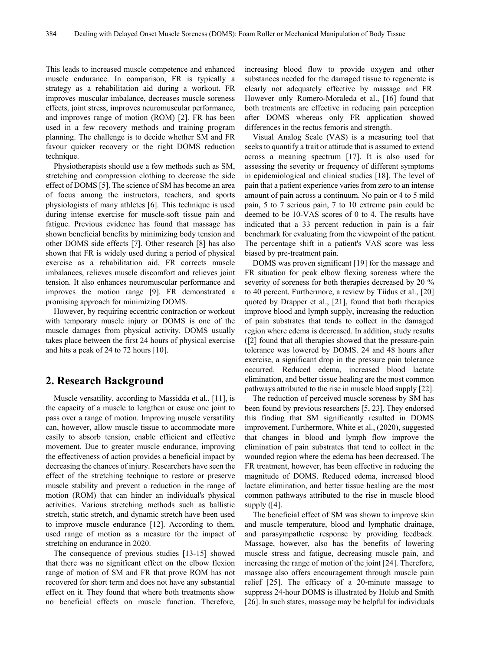This leads to increased muscle competence and enhanced muscle endurance. In comparison, FR is typically a strategy as a rehabilitation aid during a workout. FR improves muscular imbalance, decreases muscle soreness effects, joint stress, improves neuromuscular performance, and improves range of motion (ROM) [2]. FR has been used in a few recovery methods and training program planning. The challenge is to decide whether SM and FR favour quicker recovery or the right DOMS reduction technique.

Physiotherapists should use a few methods such as SM, stretching and compression clothing to decrease the side effect of DOMS [5]. The science of SM has become an area of focus among the instructors, teachers, and sports physiologists of many athletes [6]. This technique is used during intense exercise for muscle-soft tissue pain and fatigue. Previous evidence has found that massage has shown beneficial benefits by minimizing body tension and other DOMS side effects [7]. Other research [8] has also shown that FR is widely used during a period of physical exercise as a rehabilitation aid. FR corrects muscle imbalances, relieves muscle discomfort and relieves joint tension. It also enhances neuromuscular performance and improves the motion range [9]. FR demonstrated a promising approach for minimizing DOMS.

However, by requiring eccentric contraction or workout with temporary muscle injury or DOMS is one of the muscle damages from physical activity. DOMS usually takes place between the first 24 hours of physical exercise and hits a peak of 24 to 72 hours [10].

#### **2. Research Background**

Muscle versatility, according to Massidda et al., [11], is the capacity of a muscle to lengthen or cause one joint to pass over a range of motion. Improving muscle versatility can, however, allow muscle tissue to accommodate more easily to absorb tension, enable efficient and effective movement. Due to greater muscle endurance, improving the effectiveness of action provides a beneficial impact by decreasing the chances of injury. Researchers have seen the effect of the stretching technique to restore or preserve muscle stability and prevent a reduction in the range of motion (ROM) that can hinder an individual's physical activities. Various stretching methods such as ballistic stretch, static stretch, and dynamic stretch have been used to improve muscle endurance [12]. According to them, used range of motion as a measure for the impact of stretching on endurance in 2020.

The consequence of previous studies [13-15] showed that there was no significant effect on the elbow flexion range of motion of SM and FR that prove ROM has not recovered for short term and does not have any substantial effect on it. They found that where both treatments show no beneficial effects on muscle function. Therefore, increasing blood flow to provide oxygen and other substances needed for the damaged tissue to regenerate is clearly not adequately effective by massage and FR. However only Romero-Moraleda et al., [16] found that both treatments are effective in reducing pain perception after DOMS whereas only FR application showed differences in the rectus femoris and strength.

Visual Analog Scale (VAS) is a measuring tool that seeks to quantify a trait or attitude that is assumed to extend across a meaning spectrum [17]. It is also used for assessing the severity or frequency of different symptoms in epidemiological and clinical studies [18]. The level of pain that a patient experience varies from zero to an intense amount of pain across a continuum. No pain or 4 to 5 mild pain, 5 to 7 serious pain, 7 to 10 extreme pain could be deemed to be 10-VAS scores of 0 to 4. The results have indicated that a 33 percent reduction in pain is a fair benchmark for evaluating from the viewpoint of the patient. The percentage shift in a patient's VAS score was less biased by pre-treatment pain.

DOMS was proven significant [19] for the massage and FR situation for peak elbow flexing soreness where the severity of soreness for both therapies decreased by 20 % to 40 percent. Furthermore, a review by Tiidus et al., [20] quoted by Drapper et al., [21], found that both therapies improve blood and lymph supply, increasing the reduction of pain substrates that tends to collect in the damaged region where edema is decreased. In addition, study results ([2] found that all therapies showed that the pressure-pain tolerance was lowered by DOMS. 24 and 48 hours after exercise, a significant drop in the pressure pain tolerance occurred. Reduced edema, increased blood lactate elimination, and better tissue healing are the most common pathways attributed to the rise in muscle blood supply [22].

The reduction of perceived muscle soreness by SM has been found by previous researchers [5, 23]. They endorsed this finding that SM significantly resulted in DOMS improvement. Furthermore, White et al., (2020), suggested that changes in blood and lymph flow improve the elimination of pain substrates that tend to collect in the wounded region where the edema has been decreased. The FR treatment, however, has been effective in reducing the magnitude of DOMS. Reduced edema, increased blood lactate elimination, and better tissue healing are the most common pathways attributed to the rise in muscle blood supply ([4].

The beneficial effect of SM was shown to improve skin and muscle temperature, blood and lymphatic drainage, and parasympathetic response by providing feedback. Massage, however, also has the benefits of lowering muscle stress and fatigue, decreasing muscle pain, and increasing the range of motion of the joint [24]. Therefore, massage also offers encouragement through muscle pain relief [25]. The efficacy of a 20-minute massage to suppress 24-hour DOMS is illustrated by Holub and Smith [26]. In such states, massage may be helpful for individuals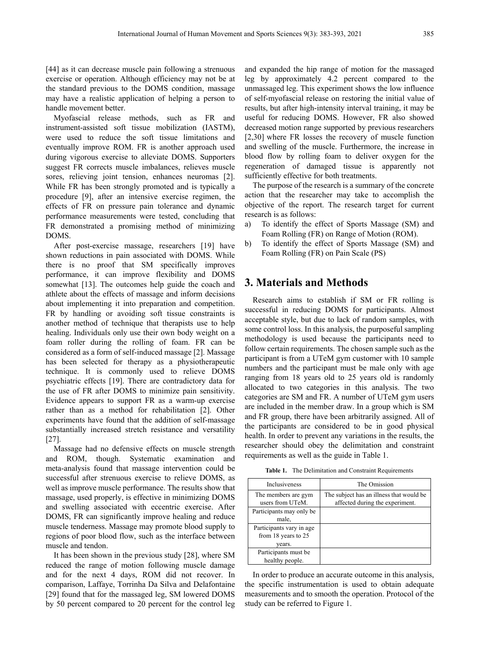[44] as it can decrease muscle pain following a strenuous exercise or operation. Although efficiency may not be at the standard previous to the DOMS condition, massage may have a realistic application of helping a person to handle movement better.

Myofascial release methods, such as FR and instrument-assisted soft tissue mobilization (IASTM), were used to reduce the soft tissue limitations and eventually improve ROM. FR is another approach used during vigorous exercise to alleviate DOMS. Supporters suggest FR corrects muscle imbalances, relieves muscle sores, relieving joint tension, enhances neuromas [2]. While FR has been strongly promoted and is typically a procedure [9], after an intensive exercise regimen, the effects of FR on pressure pain tolerance and dynamic performance measurements were tested, concluding that FR demonstrated a promising method of minimizing DOMS.

After post-exercise massage, researchers [19] have shown reductions in pain associated with DOMS. While there is no proof that SM specifically improves performance, it can improve flexibility and DOMS somewhat [13]. The outcomes help guide the coach and athlete about the effects of massage and inform decisions about implementing it into preparation and competition. FR by handling or avoiding soft tissue constraints is another method of technique that therapists use to help healing. Individuals only use their own body weight on a foam roller during the rolling of foam. FR can be considered as a form of self-induced massage [2]. Massage has been selected for therapy as a physiotherapeutic technique. It is commonly used to relieve DOMS psychiatric effects [19]. There are contradictory data for the use of FR after DOMS to minimize pain sensitivity. Evidence appears to support FR as a warm-up exercise rather than as a method for rehabilitation [2]. Other experiments have found that the addition of self-massage substantially increased stretch resistance and versatility [27].

Massage had no defensive effects on muscle strength and ROM, though. Systematic examination and meta-analysis found that massage intervention could be successful after strenuous exercise to relieve DOMS, as well as improve muscle performance. The results show that massage, used properly, is effective in minimizing DOMS and swelling associated with eccentric exercise. After DOMS, FR can significantly improve healing and reduce muscle tenderness. Massage may promote blood supply to regions of poor blood flow, such as the interface between muscle and tendon.

It has been shown in the previous study [28], where SM reduced the range of motion following muscle damage and for the next 4 days, ROM did not recover. In comparison, Laffaye, Torrinha Da Silva and Delafontaine [29] found that for the massaged leg, SM lowered DOMS by 50 percent compared to 20 percent for the control leg

and expanded the hip range of motion for the massaged leg by approximately 4.2 percent compared to the unmassaged leg. This experiment shows the low influence of self-myofascial release on restoring the initial value of results, but after high-intensity interval training, it may be useful for reducing DOMS. However, FR also showed decreased motion range supported by previous researchers [2,30] where FR losses the recovery of muscle function and swelling of the muscle. Furthermore, the increase in blood flow by rolling foam to deliver oxygen for the regeneration of damaged tissue is apparently not sufficiently effective for both treatments.

The purpose of the research is a summary of the concrete action that the researcher may take to accomplish the objective of the report. The research target for current research is as follows:

- a) To identify the effect of Sports Massage (SM) and Foam Rolling (FR) on Range of Motion (ROM).
- b) To identify the effect of Sports Massage (SM) and Foam Rolling (FR) on Pain Scale (PS)

#### **3. Materials and Methods**

Research aims to establish if SM or FR rolling is successful in reducing DOMS for participants. Almost acceptable style, but due to lack of random samples, with some control loss. In this analysis, the purposeful sampling methodology is used because the participants need to follow certain requirements. The chosen sample such as the participant is from a UTeM gym customer with 10 sample numbers and the participant must be male only with age ranging from 18 years old to 25 years old is randomly allocated to two categories in this analysis. The two categories are SM and FR. A number of UTeM gym users are included in the member draw. In a group which is SM and FR group, there have been arbitrarily assigned. All of the participants are considered to be in good physical health. In order to prevent any variations in the results, the researcher should obey the delimitation and constraint requirements as well as the guide in Table 1.

**Table 1.** The Delimitation and Constraint Requirements

| Inclusiveness                                             | The Omission                                                                |
|-----------------------------------------------------------|-----------------------------------------------------------------------------|
| The members are gym<br>users from UTeM.                   | The subject has an illness that would be<br>affected during the experiment. |
| Participants may only be<br>male,                         |                                                                             |
| Participants vary in age<br>from 18 years to 25<br>vears. |                                                                             |
| Participants must be<br>healthy people.                   |                                                                             |

In order to produce an accurate outcome in this analysis, the specific instrumentation is used to obtain adequate measurements and to smooth the operation. Protocol of the study can be referred to Figure 1.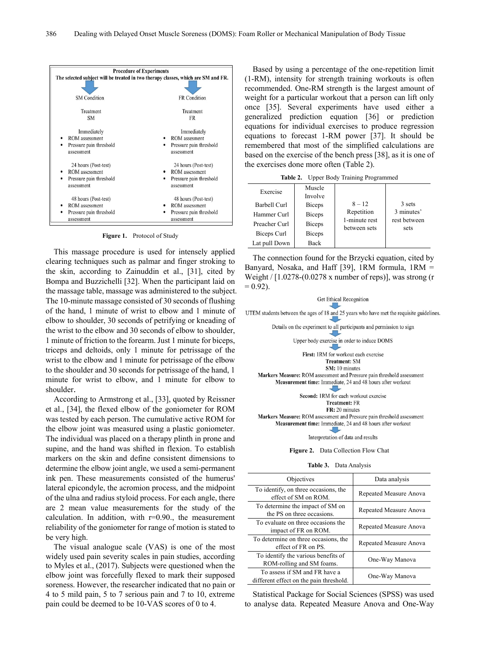

**Figure 1.** Protocol of Study

This massage procedure is used for intensely applied clearing techniques such as palmar and finger stroking to the skin, according to Zainuddin et al., [31], cited by Bompa and Buzzichelli [32]. When the participant laid on the massage table, massage was administered to the subject. The 10-minute massage consisted of 30 seconds of flushing of the hand, 1 minute of wrist to elbow and 1 minute of elbow to shoulder, 30 seconds of petrifying or kneading of the wrist to the elbow and 30 seconds of elbow to shoulder, 1 minute of friction to the forearm. Just 1 minute for biceps, triceps and deltoids, only 1 minute for petrissage of the wrist to the elbow and 1 minute for petrissage of the elbow to the shoulder and 30 seconds for petrissage of the hand, 1 minute for wrist to elbow, and 1 minute for elbow to shoulder.

According to Armstrong et al., [33], quoted by Reissner et al., [34], the flexed elbow of the goniometer for ROM was tested by each person. The cumulative active ROM for the elbow joint was measured using a plastic goniometer. The individual was placed on a therapy plinth in prone and supine, and the hand was shifted in flexion. To establish markers on the skin and define consistent dimensions to determine the elbow joint angle, we used a semi-permanent ink pen. These measurements consisted of the humerus' lateral epicondyle, the acromion process, and the midpoint of the ulna and radius styloid process. For each angle, there are 2 mean value measurements for the study of the calculation. In addition, with  $r=0.90$ , the measurement reliability of the goniometer for range of motion is stated to be very high.

The visual analogue scale (VAS) is one of the most widely used pain severity scales in pain studies, according to Myles et al., (2017). Subjects were questioned when the elbow joint was forcefully flexed to mark their supposed soreness. However, the researcher indicated that no pain or 4 to 5 mild pain, 5 to 7 serious pain and 7 to 10, extreme pain could be deemed to be 10-VAS scores of 0 to 4.

Based by using a percentage of the one-repetition limit (1-RM), intensity for strength training workouts is often recommended. One-RM strength is the largest amount of weight for a particular workout that a person can lift only once [35]. Several experiments have used either a generalized prediction equation [36] or prediction equations for individual exercises to produce regression equations to forecast 1-RM power [37]. It should be remembered that most of the simplified calculations are based on the exercise of the bench press [38], as it is one of the exercises done more often (Table 2).

**Table 2.** Upper Body Training Programmed

| Exercise<br>Barbell Curl<br>Hammer Curl<br>Preacher Curl<br>Biceps Curl | Muscle<br>Involve<br><b>Biceps</b><br><b>Biceps</b><br><b>Biceps</b><br><b>Biceps</b> | $8 - 12$<br>Repetition<br>1-minute rest<br>between sets | 3 sets<br>3 minutes'<br>rest between<br>sets |
|-------------------------------------------------------------------------|---------------------------------------------------------------------------------------|---------------------------------------------------------|----------------------------------------------|
| Lat pull Down                                                           | Back                                                                                  |                                                         |                                              |

The connection found for the Brzycki equation, cited by Banyard, Nosaka, and Haff [39], 1RM formula, 1RM = Weight /  $[1.0278-(0.0278 \times \text{number of reps})]$ , was strong (r  $= 0.92$ ).



**Figure 2.** Data Collection Flow Chat

| Table 3. | Data Analysis |  |
|----------|---------------|--|
|          |               |  |

| Objectives                                                               | Data analysis          |
|--------------------------------------------------------------------------|------------------------|
| To identify, on three occasions, the<br>effect of SM on ROM.             | Repeated Measure Anova |
| To determine the impact of SM on<br>the PS on three occasions.           | Repeated Measure Anova |
| To evaluate on three occasions the<br>impact of FR on ROM.               | Repeated Measure Anova |
| To determine on three occasions, the<br>effect of FR on PS.              | Repeated Measure Anova |
| To identify the various benefits of<br>ROM-rolling and SM foams.         | One-Way Manova         |
| To assess if SM and FR have a<br>different effect on the pain threshold. | One-Way Manova         |

Statistical Package for Social Sciences (SPSS) was used to analyse data. Repeated Measure Anova and One-Way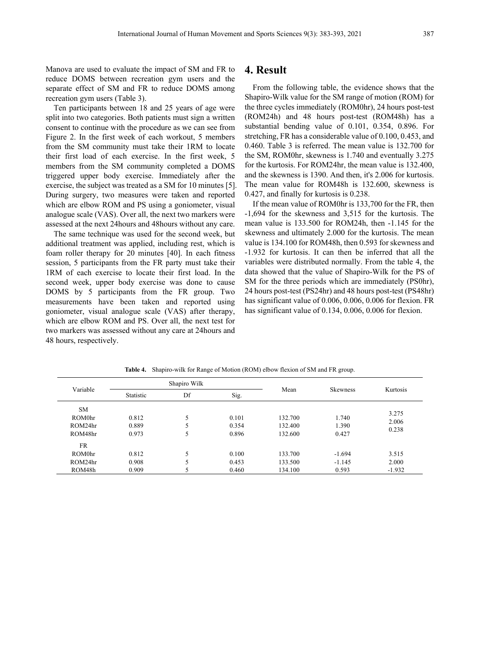Manova are used to evaluate the impact of SM and FR to reduce DOMS between recreation gym users and the separate effect of SM and FR to reduce DOMS among recreation gym users (Table 3).

Ten participants between 18 and 25 years of age were split into two categories. Both patients must sign a written consent to continue with the procedure as we can see from Figure 2. In the first week of each workout, 5 members from the SM community must take their 1RM to locate their first load of each exercise. In the first week, 5 members from the SM community completed a DOMS triggered upper body exercise. Immediately after the exercise, the subject was treated as a SM for 10 minutes [5]. During surgery, two measures were taken and reported which are elbow ROM and PS using a goniometer, visual analogue scale (VAS). Over all, the next two markers were assessed at the next 24hours and 48hours without any care.

The same technique was used for the second week, but additional treatment was applied, including rest, which is foam roller therapy for 20 minutes [40]. In each fitness session, 5 participants from the FR party must take their 1RM of each exercise to locate their first load. In the second week, upper body exercise was done to cause DOMS by 5 participants from the FR group. Two measurements have been taken and reported using goniometer, visual analogue scale (VAS) after therapy, which are elbow ROM and PS. Over all, the next test for two markers was assessed without any care at 24hours and 48 hours, respectively.

### **4. Result**

From the following table, the evidence shows that the Shapiro-Wilk value for the SM range of motion (ROM) for the three cycles immediately (ROM0hr), 24 hours post-test (ROM24h) and 48 hours post-test (ROM48h) has a substantial bending value of 0.101, 0.354, 0.896. For stretching, FR has a considerable value of 0.100, 0.453, and 0.460. Table 3 is referred. The mean value is 132.700 for the SM, ROM0hr, skewness is 1.740 and eventually 3.275 for the kurtosis. For ROM24hr, the mean value is 132.400, and the skewness is 1390. And then, it's 2.006 for kurtosis. The mean value for ROM48h is 132.600, skewness is 0.427, and finally for kurtosis is 0.238.

If the mean value of ROM0hr is 133,700 for the FR, then -1,694 for the skewness and 3,515 for the kurtosis. The mean value is 133.500 for ROM24h, then -1.145 for the skewness and ultimately 2.000 for the kurtosis. The mean value is 134.100 for ROM48h, then 0.593 for skewness and -1.932 for kurtosis. It can then be inferred that all the variables were distributed normally. From the table 4, the data showed that the value of Shapiro-Wilk for the PS of SM for the three periods which are immediately (PS0hr), 24 hours post-test (PS24hr) and 48 hours post-test (PS48hr) has significant value of 0.006, 0.006, 0.006 for flexion. FR has significant value of 0.134, 0.006, 0.006 for flexion.

| Variable  | Shapiro Wilk |    |       |         |                 |          |
|-----------|--------------|----|-------|---------|-----------------|----------|
|           | Statistic    | Df | Sig.  | Mean    | <b>Skewness</b> | Kurtosis |
| <b>SM</b> |              |    |       |         |                 |          |
| ROM0hr    | 0.812        | 5  | 0.101 | 132.700 | 1.740           | 3.275    |
| ROM24hr   | 0.889        | 5  | 0.354 | 132.400 | 1.390           | 2.006    |
| ROM48hr   | 0.973        | 5  | 0.896 | 132.600 | 0.427           | 0.238    |
| <b>FR</b> |              |    |       |         |                 |          |
| ROM0hr    | 0.812        | 5  | 0.100 | 133.700 | $-1.694$        | 3.515    |
| ROM24hr   | 0.908        | 5  | 0.453 | 133.500 | $-1.145$        | 2.000    |
| ROM48h    | 0.909        | 5  | 0.460 | 134.100 | 0.593           | $-1.932$ |

**Table 4.** Shapiro-wilk for Range of Motion (ROM) elbow flexion of SM and FR group.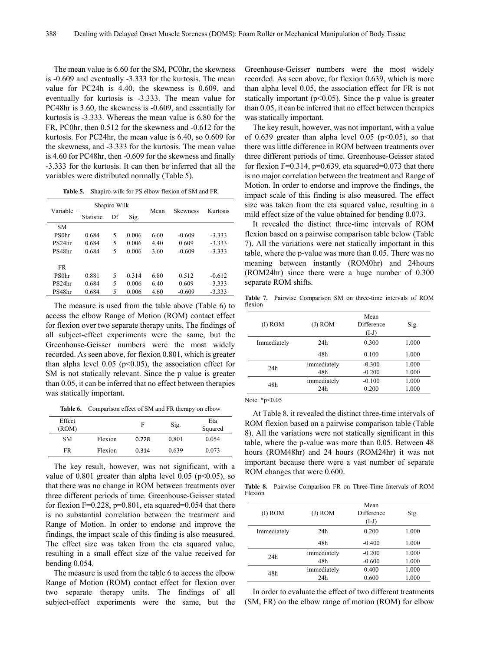The mean value is 6.60 for the SM, PC0hr, the skewness is -0.609 and eventually -3.333 for the kurtosis. The mean value for PC24h is 4.40, the skewness is 0.609, and eventually for kurtosis is -3.333. The mean value for PC48hr is 3.60, the skewness is -0.609, and essentially for kurtosis is -3.333. Whereas the mean value is 6.80 for the FR, PC0hr, then 0.512 for the skewness and -0.612 for the kurtosis. For PC24hr, the mean value is 6.40, so 0.609 for the skewness, and -3.333 for the kurtosis. The mean value is 4.60 for PC48hr, then -0.609 for the skewness and finally -3.333 for the kurtosis. It can then be inferred that all the variables were distributed normally (Table 5).

**Table 5.** Shapiro-wilk for PS elbow flexion of SM and FR

| Variable          |           | Shapiro Wilk             |       | Mean | <b>Skewness</b> | Kurtosis |  |
|-------------------|-----------|--------------------------|-------|------|-----------------|----------|--|
|                   | Statistic | Df                       | Sig.  |      |                 |          |  |
| <b>SM</b>         |           |                          |       |      |                 |          |  |
| PS0 <sub>hr</sub> | 0.684     | 5                        | 0.006 | 6.60 | $-0.609$        | $-3.333$ |  |
| PS24hr            | 0.684     | 5                        | 0.006 | 4.40 | 0.609           | $-3.333$ |  |
| PS48hr            | 0.684     | 5                        | 0.006 | 3.60 | $-0.609$        | $-3.333$ |  |
| <b>FR</b>         |           |                          |       |      |                 |          |  |
| PS0 <sub>hr</sub> | 0.881     | 5                        | 0.314 | 6.80 | 0.512           | $-0.612$ |  |
| PS24hr            | 0.684     | 5                        | 0.006 | 6.40 | 0.609           | $-3.333$ |  |
| PS48hr            | 0.684     | $\overline{\phantom{0}}$ | 0.006 | 4.60 | $-0.609$        | $-3.333$ |  |

The measure is used from the table above (Table 6) to access the elbow Range of Motion (ROM) contact effect for flexion over two separate therapy units. The findings of all subject-effect experiments were the same, but the Greenhouse-Geisser numbers were the most widely recorded. As seen above, for flexion 0.801, which is greater than alpha level  $0.05$  ( $p<0.05$ ), the association effect for SM is not statically relevant. Since the p value is greater than 0.05, it can be inferred that no effect between therapies was statically important.

**Table 6.** Comparison effect of SM and FR therapy on elbow

| Effect<br>(ROM) |         | F     | Sig.  | Eta<br>Squared |
|-----------------|---------|-------|-------|----------------|
| <b>SM</b>       | Flexion | 0.228 | 0.801 | 0.054          |
| FR              | Flexion | 0.314 | 0.639 | 0.073          |

The key result, however, was not significant, with a value of 0.801 greater than alpha level 0.05 ( $p$ <0.05), so that there was no change in ROM between treatments over three different periods of time. Greenhouse-Geisser stated for flexion  $F=0.228$ ,  $p=0.801$ , eta squared=0.054 that there is no substantial correlation between the treatment and Range of Motion. In order to endorse and improve the findings, the impact scale of this finding is also measured. The effect size was taken from the eta squared value, resulting in a small effect size of the value received for bending 0.054.

The measure is used from the table 6 to access the elbow Range of Motion (ROM) contact effect for flexion over two separate therapy units. The findings of all subject-effect experiments were the same, but the Greenhouse-Geisser numbers were the most widely recorded. As seen above, for flexion 0.639, which is more than alpha level 0.05, the association effect for FR is not statically important ( $p<0.05$ ). Since the p value is greater than 0.05, it can be inferred that no effect between therapies was statically important.

The key result, however, was not important, with a value of 0.639 greater than alpha level 0.05 ( $p<0.05$ ), so that there was little difference in ROM between treatments over three different periods of time. Greenhouse-Geisser stated for flexion  $F=0.314$ ,  $p=0.639$ , eta squared=0.073 that there is no major correlation between the treatment and Range of Motion. In order to endorse and improve the findings, the impact scale of this finding is also measured. The effect size was taken from the eta squared value, resulting in a mild effect size of the value obtained for bending 0.073.

It revealed the distinct three-time intervals of ROM flexion based on a pairwise comparison table below (Table 7). All the variations were not statically important in this table, where the p-value was more than 0.05. There was no meaning between instantly (ROM0hr) and 24hours (ROM24hr) since there were a huge number of 0.300 separate ROM shifts.

**Table 7.** Pairwise Comparison SM on three-time intervals of ROM flexion

| $(I)$ ROM   | $(J)$ ROM          | Mean<br>Difference<br>$(I-J)$ | Sig.           |
|-------------|--------------------|-------------------------------|----------------|
| Immediately | 24h                | 0.300                         | 1.000          |
|             | 48h                | 0.100                         | 1.000          |
| 24h         | immediately<br>48h | $-0.300$<br>$-0.200$          | 1.000<br>1.000 |
| 48h         | immediately<br>24h | $-0.100$<br>0.200             | 1.000<br>1.000 |

Note: \*p<0.05

At Table 8, it revealed the distinct three-time intervals of ROM flexion based on a pairwise comparison table (Table 8). All the variations were not statically significant in this table, where the p-value was more than 0.05. Between 48 hours (ROM48hr) and 24 hours (ROM24hr) it was not important because there were a vast number of separate ROM changes that were 0.600.

**Table 8.** Pairwise Comparison FR on Three-Time Intervals of ROM Flexion

| $(I)$ ROM   | $(J)$ ROM   | Mean<br>Difference<br>$(I-J)$ | Sig.  |
|-------------|-------------|-------------------------------|-------|
| Immediately | 24h         | 0.200                         | 1.000 |
|             | 48h         | $-0.400$                      | 1.000 |
| 24h         | immediately | $-0.200$                      | 1.000 |
|             | 48h         | $-0.600$                      | 1.000 |
| 48h         | immediately | 0.400                         | 1.000 |
|             | 24h         | 0.600                         | 1.000 |

In order to evaluate the effect of two different treatments (SM, FR) on the elbow range of motion (ROM) for elbow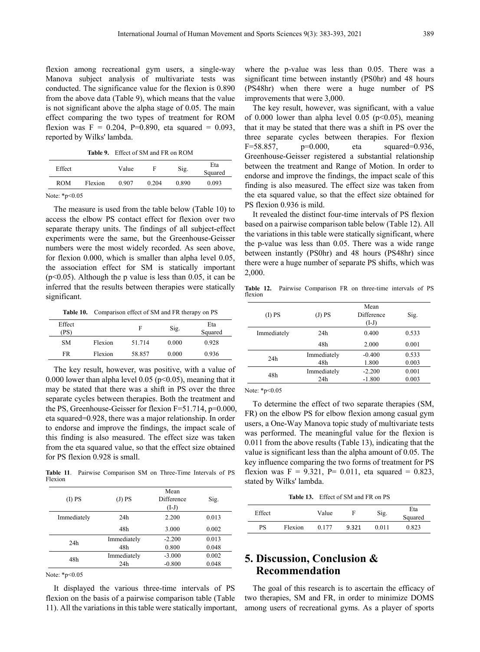flexion among recreational gym users, a single-way Manova subject analysis of multivariate tests was conducted. The significance value for the flexion is 0.890 from the above data (Table 9), which means that the value is not significant above the alpha stage of 0.05. The main effect comparing the two types of treatment for ROM flexion was  $F = 0.204$ , P=0.890, eta squared = 0.093, reported by Wilks' lambda.

**Table 9.** Effect of SM and FR on ROM

| Effect     |         | Value | F     | Sig.  | Eta<br>Squared |
|------------|---------|-------|-------|-------|----------------|
| <b>ROM</b> | Flexion | 0.907 | 0.204 | 0.890 | 0.093          |

Note: \*p<0.05

The measure is used from the table below (Table 10) to access the elbow PS contact effect for flexion over two separate therapy units. The findings of all subject-effect experiments were the same, but the Greenhouse-Geisser numbers were the most widely recorded. As seen above, for flexion 0.000, which is smaller than alpha level 0.05, the association effect for SM is statically important  $(p<0.05)$ . Although the p value is less than 0.05, it can be inferred that the results between therapies were statically significant.

**Table 10.** Comparison effect of SM and FR therapy on PS

| Effect<br>(PS) |         | F      | Sig.  | Eta<br>Squared |
|----------------|---------|--------|-------|----------------|
| <b>SM</b>      | Flexion | 51.714 | 0.000 | 0.928          |
| FR             | Flexion | 58.857 | 0.000 | 0.936          |

The key result, however, was positive, with a value of 0.000 lower than alpha level 0.05 ( $p<0.05$ ), meaning that it may be stated that there was a shift in PS over the three separate cycles between therapies. Both the treatment and the PS, Greenhouse-Geisser for flexion F=51.714, p=0.000, eta squared=0.928, there was a major relationship. In order to endorse and improve the findings, the impact scale of this finding is also measured. The effect size was taken from the eta squared value, so that the effect size obtained for PS flexion 0.928 is small.

**Table 11**. Pairwise Comparison SM on Three-Time Intervals of PS Flexion

| (I) PS      | (J) PS             | Mean<br>Difference<br>$(I-J)$ | Sig.           |
|-------------|--------------------|-------------------------------|----------------|
| Immediately | 24h                | 2.200                         | 0.013          |
|             | 48h                | 3.000                         | 0.002          |
| 24h         | Immediately<br>48h | $-2.200$<br>0.800             | 0.013<br>0.048 |
| 48h         | Immediately<br>24h | $-3.000$<br>$-0.800$          | 0.002<br>0.048 |

Note: \*p<0.05

It displayed the various three-time intervals of PS flexion on the basis of a pairwise comparison table (Table 11). All the variations in this table were statically important, where the p-value was less than 0.05. There was a significant time between instantly (PS0hr) and 48 hours (PS48hr) when there were a huge number of PS improvements that were 3,000.

The key result, however, was significant, with a value of 0.000 lower than alpha level 0.05 ( $p<0.05$ ), meaning that it may be stated that there was a shift in PS over the three separate cycles between therapies. For flexion F=58.857, p=0.000, eta squared=0.936, Greenhouse-Geisser registered a substantial relationship between the treatment and Range of Motion. In order to endorse and improve the findings, the impact scale of this finding is also measured. The effect size was taken from the eta squared value, so that the effect size obtained for PS flexion 0.936 is mild.

It revealed the distinct four-time intervals of PS flexion based on a pairwise comparison table below (Table 12). All the variations in this table were statically significant, where the p-value was less than 0.05. There was a wide range between instantly (PS0hr) and 48 hours (PS48hr) since there were a huge number of separate PS shifts, which was 2,000.

**Table 12.** Pairwise Comparison FR on three-time intervals of PS flexion

| (I) PS      | (J) PS             | Mean<br>Difference<br>$(I-J)$ | Sig.           |
|-------------|--------------------|-------------------------------|----------------|
| Immediately | 24h                | 0.400                         | 0.533          |
|             | 48h                | 2.000                         | 0.001          |
| 24h         | Immediately<br>48h | $-0.400$<br>1.800             | 0.533<br>0.003 |
| 48h         | Immediately<br>24h | $-2.200$<br>$-1.800$          | 0.001<br>0.003 |

Note: \*p<0.05

To determine the effect of two separate therapies (SM, FR) on the elbow PS for elbow flexion among casual gym users, a One-Way Manova topic study of multivariate tests was performed. The meaningful value for the flexion is 0.011 from the above results (Table 13), indicating that the value is significant less than the alpha amount of 0.05. The key influence comparing the two forms of treatment for PS flexion was  $F = 9.321$ ,  $P = 0.011$ , eta squared = 0.823, stated by Wilks' lambda.

**Table 13.** Effect of SM and FR on PS

| Effect |         | Value | F     | Sig.   | Eta<br>Squared |
|--------|---------|-------|-------|--------|----------------|
| PS     | Flexion | 0.177 | 9.321 | 0 01 1 | 0.823          |

## **5. Discussion, Conclusion & Recommendation**

The goal of this research is to ascertain the efficacy of two therapies, SM and FR, in order to minimize DOMS among users of recreational gyms. As a player of sports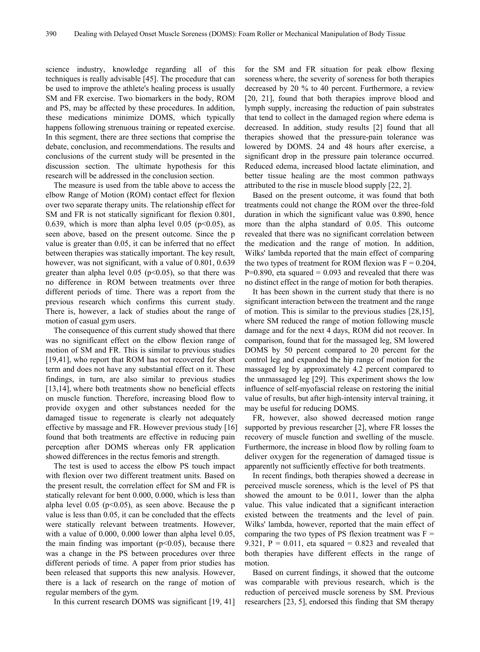science industry, knowledge regarding all of this techniques is really advisable [45]. The procedure that can be used to improve the athlete's healing process is usually SM and FR exercise. Two biomarkers in the body, ROM and PS, may be affected by these procedures. In addition, these medications minimize DOMS, which typically happens following strenuous training or repeated exercise. In this segment, there are three sections that comprise the debate, conclusion, and recommendations. The results and conclusions of the current study will be presented in the discussion section. The ultimate hypothesis for this research will be addressed in the conclusion section.

The measure is used from the table above to access the elbow Range of Motion (ROM) contact effect for flexion over two separate therapy units. The relationship effect for SM and FR is not statically significant for flexion 0.801, 0.639, which is more than alpha level 0.05 ( $p<0.05$ ), as seen above, based on the present outcome. Since the p value is greater than 0.05, it can be inferred that no effect between therapies was statically important. The key result, however, was not significant, with a value of 0.801, 0.639 greater than alpha level  $0.05$  ( $p<0.05$ ), so that there was no difference in ROM between treatments over three different periods of time. There was a report from the previous research which confirms this current study. There is, however, a lack of studies about the range of motion of casual gym users.

The consequence of this current study showed that there was no significant effect on the elbow flexion range of motion of SM and FR. This is similar to previous studies [19,41], who report that ROM has not recovered for short term and does not have any substantial effect on it. These findings, in turn, are also similar to previous studies [13,14], where both treatments show no beneficial effects on muscle function. Therefore, increasing blood flow to provide oxygen and other substances needed for the damaged tissue to regenerate is clearly not adequately effective by massage and FR. However previous study [16] found that both treatments are effective in reducing pain perception after DOMS whereas only FR application showed differences in the rectus femoris and strength.

The test is used to access the elbow PS touch impact with flexion over two different treatment units. Based on the present result, the correlation effect for SM and FR is statically relevant for bent 0.000, 0.000, which is less than alpha level  $0.05$  (p<0.05), as seen above. Because the p value is less than 0.05, it can be concluded that the effects were statically relevant between treatments. However, with a value of 0.000, 0.000 lower than alpha level 0.05, the main finding was important  $(p<0.05)$ , because there was a change in the PS between procedures over three different periods of time. A paper from prior studies has been released that supports this new analysis. However, there is a lack of research on the range of motion of regular members of the gym.

In this current research DOMS was significant [19, 41]

for the SM and FR situation for peak elbow flexing soreness where, the severity of soreness for both therapies decreased by 20 % to 40 percent. Furthermore, a review [20, 21], found that both therapies improve blood and lymph supply, increasing the reduction of pain substrates that tend to collect in the damaged region where edema is decreased. In addition, study results [2] found that all therapies showed that the pressure-pain tolerance was lowered by DOMS. 24 and 48 hours after exercise, a significant drop in the pressure pain tolerance occurred. Reduced edema, increased blood lactate elimination, and better tissue healing are the most common pathways attributed to the rise in muscle blood supply [22, 2].

Based on the present outcome, it was found that both treatments could not change the ROM over the three-fold duration in which the significant value was 0.890, hence more than the alpha standard of 0.05. This outcome revealed that there was no significant correlation between the medication and the range of motion. In addition, Wilks' lambda reported that the main effect of comparing the two types of treatment for ROM flexion was  $F = 0.204$ ,  $P=0.890$ , eta squared = 0.093 and revealed that there was no distinct effect in the range of motion for both therapies.

It has been shown in the current study that there is no significant interaction between the treatment and the range of motion. This is similar to the previous studies [28,15], where SM reduced the range of motion following muscle damage and for the next 4 days, ROM did not recover. In comparison, found that for the massaged leg, SM lowered DOMS by 50 percent compared to 20 percent for the control leg and expanded the hip range of motion for the massaged leg by approximately 4.2 percent compared to the unmassaged leg [29]. This experiment shows the low influence of self-myofascial release on restoring the initial value of results, but after high-intensity interval training, it may be useful for reducing DOMS.

FR, however, also showed decreased motion range supported by previous researcher [2], where FR losses the recovery of muscle function and swelling of the muscle. Furthermore, the increase in blood flow by rolling foam to deliver oxygen for the regeneration of damaged tissue is apparently not sufficiently effective for both treatments.

In recent findings, both therapies showed a decrease in perceived muscle soreness, which is the level of PS that showed the amount to be 0.011, lower than the alpha value. This value indicated that a significant interaction existed between the treatments and the level of pain. Wilks' lambda, however, reported that the main effect of comparing the two types of PS flexion treatment was  $F =$ 9.321,  $P = 0.011$ , eta squared = 0.823 and revealed that both therapies have different effects in the range of motion.

Based on current findings, it showed that the outcome was comparable with previous research, which is the reduction of perceived muscle soreness by SM. Previous researchers [23, 5], endorsed this finding that SM therapy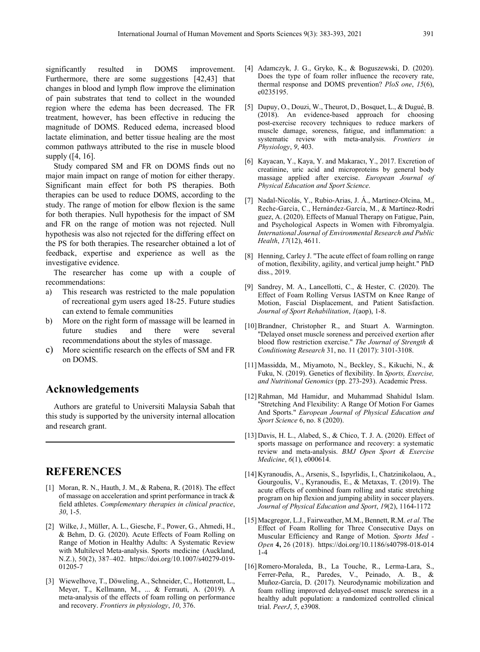significantly resulted in DOMS improvement. Furthermore, there are some suggestions [42,43] that changes in blood and lymph flow improve the elimination of pain substrates that tend to collect in the wounded region where the edema has been decreased. The FR treatment, however, has been effective in reducing the magnitude of DOMS. Reduced edema, increased blood lactate elimination, and better tissue healing are the most common pathways attributed to the rise in muscle blood supply ([4, 16].

Study compared SM and FR on DOMS finds out no major main impact on range of motion for either therapy. Significant main effect for both PS therapies. Both therapies can be used to reduce DOMS, according to the study. The range of motion for elbow flexion is the same for both therapies. Null hypothesis for the impact of SM and FR on the range of motion was not rejected. Null hypothesis was also not rejected for the differing effect on the PS for both therapies. The researcher obtained a lot of feedback, expertise and experience as well as the investigative evidence.

The researcher has come up with a couple of recommendations:

- a) This research was restricted to the male population of recreational gym users aged 18-25. Future studies can extend to female communities
- b) More on the right form of massage will be learned in future studies and there were several recommendations about the styles of massage.
- c) More scientific research on the effects of SM and FR on DOMS.

### **Acknowledgements**

Authors are grateful to Universiti Malaysia Sabah that this study is supported by the university internal allocation and research grant.

## **REFERENCES**

- [1] Moran, R. N., Hauth, J. M., & Rabena, R. (2018). The effect of massage on acceleration and sprint performance in track & field athletes. *Complementary therapies in clinical practice*, *30*, 1-5.
- [2] Wilke, J., Müller, A. L., Giesche, F., Power, G., Ahmedi, H., & Behm, D. G. (2020). Acute Effects of Foam Rolling on Range of Motion in Healthy Adults: A Systematic Review with Multilevel Meta-analysis. Sports medicine (Auckland, N.Z.), 50(2), 387–402. https://doi.org/10.1007/s40279-019- 01205-7
- [3] Wiewelhove, T., Döweling, A., Schneider, C., Hottenrott, L., Meyer, T., Kellmann, M., ... & Ferrauti, A. (2019). A meta-analysis of the effects of foam rolling on performance and recovery. *Frontiers in physiology*, *10*, 376.
- [4] Adamczyk, J. G., Gryko, K., & Boguszewski, D. (2020). Does the type of foam roller influence the recovery rate, thermal response and DOMS prevention? *PloS one*, *15*(6), e0235195.
- [5] Dupuy, O., Douzi, W., Theurot, D., Bosquet, L., & Dugué, B. (2018). An evidence-based approach for choosing post-exercise recovery techniques to reduce markers of muscle damage, soreness, fatigue, and inflammation: a systematic review with meta-analysis. *Frontiers in Physiology*, *9*, 403.
- [6] Kayacan, Y., Kaya, Y. and Makaracı, Y., 2017. Excretion of creatinine, uric acid and microproteins by general body massage applied after exercise. *European Journal of Physical Education and Sport Science*.
- [7] Nadal-Nicolás, Y., Rubio-Arias, J. Á., Martínez-Olcina, M., Reche-García, C., Hernández-García, M., & Martínez-Rodrí guez, A. (2020). Effects of Manual Therapy on Fatigue, Pain, and Psychological Aspects in Women with Fibromyalgia. *International Journal of Environmental Research and Public Health*, *17*(12), 4611.
- [8] Henning, Carley J. "The acute effect of foam rolling on range of motion, flexibility, agility, and vertical jump height." PhD diss., 2019.
- [9] Sandrey, M. A., Lancellotti, C., & Hester, C. (2020). The Effect of Foam Rolling Versus IASTM on Knee Range of Motion, Fascial Displacement, and Patient Satisfaction. *Journal of Sport Rehabilitation*, *1*(aop), 1-8.
- [10]Brandner, Christopher R., and Stuart A. Warmington. "Delayed onset muscle soreness and perceived exertion after blood flow restriction exercise." *The Journal of Strength & Conditioning Research* 31, no. 11 (2017): 3101-3108.
- [11]Massidda, M., Miyamoto, N., Beckley, S., Kikuchi, N., & Fuku, N. (2019). Genetics of flexibility. In *Sports, Exercise, and Nutritional Genomics* (pp. 273-293). Academic Press.
- [12]Rahman, Md Hamidur, and Muhammad Shahidul Islam. "Stretching And Flexibility: A Range Of Motion For Games And Sports." *European Journal of Physical Education and Sport Science* 6, no. 8 (2020).
- [13] Davis, H. L., Alabed, S., & Chico, T. J. A. (2020). Effect of sports massage on performance and recovery: a systematic review and meta-analysis. *BMJ Open Sport & Exercise Medicine*, *6*(1), e000614.
- [14] Kyranoudis, A., Arsenis, S., Ispyrlidis, I., Chatzinikolaou, A., Gourgoulis, V., Kyranoudis, E., & Metaxas, T. (2019). The acute effects of combined foam rolling and static stretching program on hip flexion and jumping ability in soccer players. *Journal of Physical Education and Sport*, *19*(2), 1164-1172
- [15]Macgregor, L.J., Fairweather, M.M., Bennett, R.M. *et al.* The Effect of Foam Rolling for Three Consecutive Days on Muscular Efficiency and Range of Motion. *Sports Med - Open* **4,** 26 (2018). https://doi.org/10.1186/s40798-018-014 1-4
- [16]Romero-Moraleda, B., La Touche, R., Lerma-Lara, S., Ferrer-Peña, R., Paredes, V., Peinado, A. B., & Muñoz-García, D. (2017). Neurodynamic mobilization and foam rolling improved delayed-onset muscle soreness in a healthy adult population: a randomized controlled clinical trial. *PeerJ*, *5*, e3908.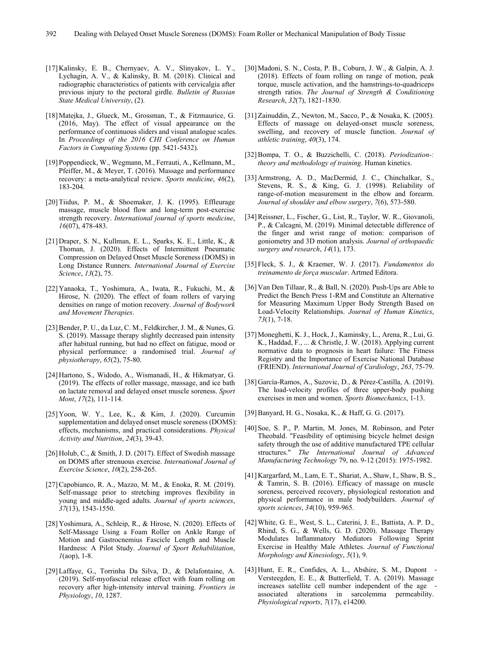- [17] Kalinsky, E. B., Chernyaev, A. V., Slinyakov, L. Y., Lychagin, A. V., & Kalinsky, B. M. (2018). Clinical and radiographic characteristics of patients with cervicalgia after previous injury to the pectoral girdle. *Bulletin of Russian State Medical University*, (2).
- [18]Matejka, J., Glueck, M., Grossman, T., & Fitzmaurice, G. (2016, May). The effect of visual appearance on the performance of continuous sliders and visual analogue scales. In *Proceedings of the 2016 CHI Conference on Human Factors in Computing Systems* (pp. 5421-5432).
- [19] Poppendieck, W., Wegmann, M., Ferrauti, A., Kellmann, M., Pfeiffer, M., & Meyer, T. (2016). Massage and performance recovery: a meta-analytical review. *Sports medicine*, *46*(2), 183-204.
- [20]Tiidus, P. M., & Shoemaker, J. K. (1995). Effleurage massage, muscle blood flow and long-term post-exercise strength recovery. *International journal of sports medicine*, *16*(07), 478-483.
- [21] Draper, S. N., Kullman, E. L., Sparks, K. E., Little, K., & Thoman, J. (2020). Effects of Intermittent Pneumatic Compression on Delayed Onset Muscle Soreness (DOMS) in Long Distance Runners. *International Journal of Exercise Science*, *13*(2), 75.
- [22] Yanaoka, T., Yoshimura, A., Iwata, R., Fukuchi, M., & Hirose, N. (2020). The effect of foam rollers of varying densities on range of motion recovery. *Journal of Bodywork and Movement Therapies*.
- [23]Bender, P. U., da Luz, C. M., Feldkircher, J. M., & Nunes, G. S. (2019). Massage therapy slightly decreased pain intensity after habitual running, but had no effect on fatigue, mood or physical performance: a randomised trial. *Journal of physiotherapy*, *65*(2), 75-80.
- [24] Hartono, S., Widodo, A., Wismanadi, H., & Hikmatyar, G. (2019). The effects of roller massage, massage, and ice bath on lactate removal and delayed onset muscle soreness. *Sport Mont*, *17*(2), 111-114.
- [25] Yoon, W. Y., Lee, K., & Kim, J. (2020). Curcumin supplementation and delayed onset muscle soreness (DOMS): effects, mechanisms, and practical considerations. *Physical Activity and Nutrition*, *24*(3), 39-43.
- [26] Holub, C., & Smith, J. D. (2017). Effect of Swedish massage on DOMS after strenuous exercise. *International Journal of Exercise Science*, *10*(2), 258-265.
- [27]Capobianco, R. A., Mazzo, M. M., & Enoka, R. M. (2019). Self-massage prior to stretching improves flexibility in young and middle-aged adults. *Journal of sports sciences*, *37*(13), 1543-1550.
- [28] Yoshimura, A., Schleip, R., & Hirose, N. (2020). Effects of Self-Massage Using a Foam Roller on Ankle Range of Motion and Gastrocnemius Fascicle Length and Muscle Hardness: A Pilot Study. *Journal of Sport Rehabilitation*, *1*(aop), 1-8.
- [29]Laffaye, G., Torrinha Da Silva, D., & Delafontaine, A. (2019). Self-myofascial release effect with foam rolling on recovery after high-intensity interval training. *Frontiers in Physiology*, *10*, 1287.
- [30]Madoni, S. N., Costa, P. B., Coburn, J. W., & Galpin, A. J. (2018). Effects of foam rolling on range of motion, peak torque, muscle activation, and the hamstrings-to-quadriceps strength ratios. *The Journal of Strength & Conditioning Research*, *32*(7), 1821-1830.
- [31]Zainuddin, Z., Newton, M., Sacco, P., & Nosaka, K. (2005). Effects of massage on delayed-onset muscle soreness, swelling, and recovery of muscle function. *Journal of athletic training*, *40*(3), 174.
- [32]Bompa, T. O., & Buzzichelli, C. (2018). *Periodization-: theory and methodology of training*. Human kinetics.
- [33] Armstrong, A. D., MacDermid, J. C., Chinchalkar, S., Stevens, R. S., & King, G. J. (1998). Reliability of range-of-motion measurement in the elbow and forearm. *Journal of shoulder and elbow surgery*, *7*(6), 573-580.
- [34]Reissner, L., Fischer, G., List, R., Taylor, W. R., Giovanoli, P., & Calcagni, M. (2019). Minimal detectable difference of the finger and wrist range of motion: comparison of goniometry and 3D motion analysis. *Journal of orthopaedic surgery and research*, *14*(1), 173.
- [35] Fleck, S. J., & Kraemer, W. J. (2017). *Fundamentos do treinamento de força muscular*. Artmed Editora.
- [36] Van Den Tillaar, R., & Ball, N. (2020). Push-Ups are Able to Predict the Bench Press 1-RM and Constitute an Alternative for Measuring Maximum Upper Body Strength Based on Load-Velocity Relationships. *Journal of Human Kinetics*, *73*(1), 7-18.
- [37]Moneghetti, K. J., Hock, J., Kaminsky, L., Arena, R., Lui, G. K., Haddad, F., ... & Christle, J. W. (2018). Applying current normative data to prognosis in heart failure: The Fitness Registry and the Importance of Exercise National Database (FRIEND). *International Journal of Cardiology*, *263*, 75-79.
- [38] García-Ramos, A., Suzovic, D., & Pérez-Castilla, A. (2019). The load-velocity profiles of three upper-body pushing exercises in men and women. *Sports Biomechanics*, 1-13.
- [39]Banyard, H. G., Nosaka, K., & Haff, G. G. (2017).
- [40] Soe, S. P., P. Martin, M. Jones, M. Robinson, and Peter Theobald. "Feasibility of optimising bicycle helmet design safety through the use of additive manufactured TPE cellular structures." *The International Journal of Advanced Manufacturing Technology* 79, no. 9-12 (2015): 1975-1982.
- [41] Kargarfard, M., Lam, E. T., Shariat, A., Shaw, I., Shaw, B. S., & Tamrin, S. B. (2016). Efficacy of massage on muscle soreness, perceived recovery, physiological restoration and physical performance in male bodybuilders. *Journal of sports sciences*, *34*(10), 959-965.
- [42]White, G. E., West, S. L., Caterini, J. E., Battista, A. P. D., Rhind, S. G., & Wells, G. D. (2020). Massage Therapy Modulates Inflammatory Mediators Following Sprint Exercise in Healthy Male Athletes. *Journal of Functional Morphology and Kinesiology*, *5*(1), 9.
- [43] Hunt, E. R., Confides, A. L., Abshire, S. M., Dupont -Versteegden, E. E., & Butterfield, T. A. (2019). Massage increases satellite cell number independent of the age – associated alterations in sarcolemma permeability. *Physiological reports*, *7*(17), e14200.